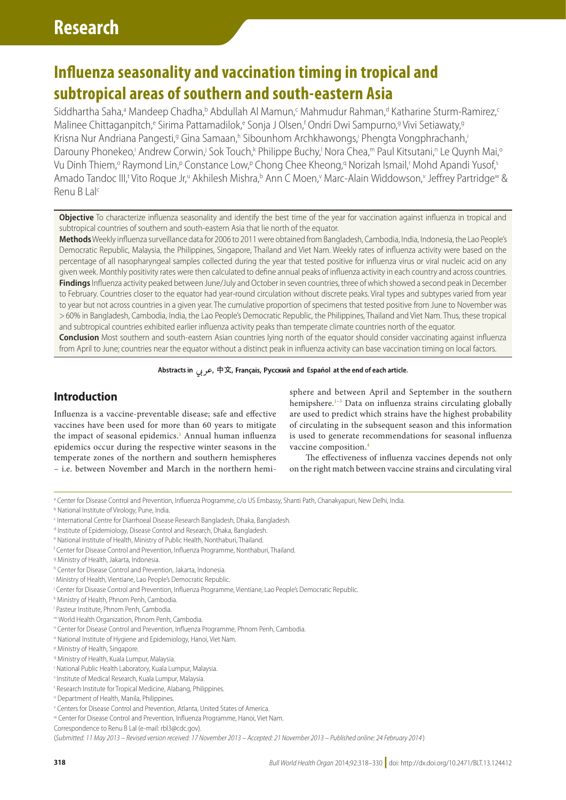# **Influenza seasonality and vaccination timing in tropical and subtropical areas of southern and south-eastern Asia**

Siddhartha Saha,<sup>a</sup> Mandeep Chadha,<sup>b</sup> Abdullah Al Mamun,<sup>c</sup> Mahmudur Rahman,<sup>d</sup> Katharine Sturm-Ramirez,<sup>c</sup> Malinee Chittaganpitch,<sup>e</sup> Sirima Pattamadilok,<sup>e</sup> Sonja J Olsen,<sup>f</sup> Ondri Dwi Sampurno,<sup>g</sup> Vivi Setiawaty,<sup>g</sup> Krisna Nur Andriana Pangesti,<sup>g</sup> Gina Samaan,<sup>h</sup> Sibounhom Archkhawongs,<sup>i</sup> Phengta Vongphrachanh,<sup>i</sup> Darouny Phonekeo,<sup>i</sup> Andrew Corwin,<sup>j</sup> Sok Touch,<sup>k</sup> Philippe Buchy,<sup>i</sup> Nora Chea,<sup>m</sup> Paul Kitsutani,<sup>n</sup> Le Quynh Mai,<sup>c</sup> Vu Dinh Thiem,° Raymond Lin,° Constance Low,° Chong Chee Kheong,ª Norizah Ismail,' Mohd Apandi Yusof,' Amado Tandoc III,<sup>t</sup> Vito Roque Jr,<sup>u</sup> Akhilesh Mishra,<sup>b</sup> Ann C Moen,<sup>v</sup> Marc-Alain Widdowson,<sup>v</sup> Jeffrey Partridge<sup>w</sup> & Renu B Lal<sup>c</sup>

**Objective** To characterize influenza seasonality and identify the best time of the year for vaccination against influenza in tropical and subtropical countries of southern and south-eastern Asia that lie north of the equator.

**Methods** Weekly influenza surveillance data for 2006 to 2011 were obtained from Bangladesh, Cambodia, India, Indonesia, the Lao People's Democratic Republic, Malaysia, the Philippines, Singapore, Thailand and Viet Nam. Weekly rates of influenza activity were based on the percentage of all nasopharyngeal samples collected during the year that tested positive for influenza virus or viral nucleic acid on any given week. Monthly positivity rates were then calculated to define annual peaks of influenza activity in each country and across countries. **Findings** Influenza activity peaked between June/July and October in seven countries, three of which showed a second peak in December to February. Countries closer to the equator had year-round circulation without discrete peaks. Viral types and subtypes varied from year to year but not across countries in a given year. The cumulative proportion of specimens that tested positive from June to November was > 60% in Bangladesh, Cambodia, India, the Lao People's Democratic Republic, the Philippines, Thailand and Viet Nam. Thus, these tropical and subtropical countries exhibited earlier influenza activity peaks than temperate climate countries north of the equator.

**Conclusion** Most southern and south-eastern Asian countries lying north of the equator should consider vaccinating against influenza from April to June; countries near the equator without a distinct peak in influenza activity can base vaccination timing on local factors.

Abstracts in هربى, 中文, Français, Русский and Español at the end of each article.

# **Introduction**

Influenza is a vaccine-preventable disease; safe and effective vaccines have been used for more than 60 years to mitigate the impact of seasonal epidemics.<sup>1</sup> Annual human influenza epidemics occur during the respective winter seasons in the temperate zones of the northern and southern hemispheres – i.e. between November and March in the northern hemi-

sphere and between April and September in the southern hemipshere.<sup>1-3</sup> Data on influenza strains circulating globally are used to predict which strains have the highest probability of circulating in the subsequent season and this information is used to generate recommendations for seasonal influenza vaccine composition.<sup>4</sup>

The effectiveness of influenza vaccines depends not only on the right match between vaccine strains and circulating viral

<sup>P</sup> Ministry of Health, Singapore.

a Center for Disease Control and Prevention, Influenza Programme, c/o US Embassy, Shanti Path, Chanakyapuri, New Delhi, India.

**b** National Institute of Virology, Pune, India.

c International Centre for Diarrhoeal Disease Research Bangladesh, Dhaka, Bangladesh.

d Institute of Epidemiology, Disease Control and Research, Dhaka, Bangladesh.

e National Institute of Health, Ministry of Public Health, Nonthaburi, Thailand.

f Center for Disease Control and Prevention, Influenza Programme, Nonthaburi, Thailand.

g Ministry of Health, Jakarta, Indonesia.

h Center for Disease Control and Prevention, Jakarta, Indonesia.

i Ministry of Health, Vientiane, Lao People's Democratic Republic.

j Center for Disease Control and Prevention, Influenza Programme, Vientiane, Lao People's Democratic Republic.

k Ministry of Health, Phnom Penh, Cambodia.

l Pasteur Institute, Phnom Penh, Cambodia.

m World Health Organization, Phnom Penh, Cambodia.

n Center for Disease Control and Prevention, Influenza Programme, Phnom Penh, Cambodia.

<sup>&</sup>lt;sup>o</sup> National Institute of Hygiene and Epidemiology, Hanoi, Viet Nam.

<sup>&</sup>lt;sup>q</sup> Ministry of Health, Kuala Lumpur, Malaysia.

r National Public Health Laboratory, Kuala Lumpur, Malaysia.

s Institute of Medical Research, Kuala Lumpur, Malaysia.

t Research Institute for Tropical Medicine, Alabang, Philippines.

u Department of Health, Manila, Philippines.

v Centers for Disease Control and Prevention, Atlanta, United States of America.

w Center for Disease Control and Prevention, Influenza Programme, Hanoi, Viet Nam.

Correspondence to Renu B Lal (e-mail: rbl3@cdc.gov).

<sup>(</sup>Submitted: 11 May 2013 – Revised version received: 17 November 2013 – Accepted: 21 November 2013 – Published online: 24 February 2014 )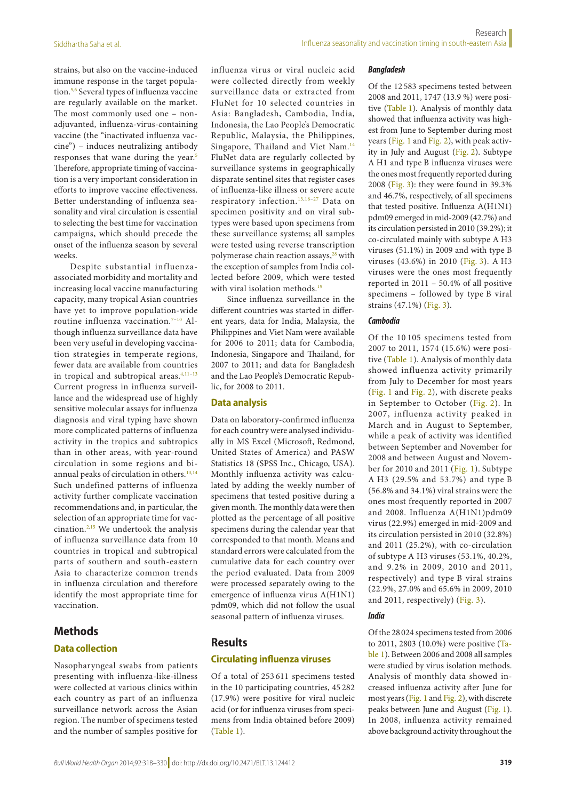strains, but also on the vaccine-induced immune response in the target population.5,6 Several types of influenza vaccine are regularly available on the market. The most commonly used one – nonadjuvanted, influenza-virus-containing vaccine (the "inactivated influenza vaccine") – induces neutralizing antibody responses that wane during the year.<sup>5</sup> Therefore, appropriate timing of vaccination is a very important consideration in efforts to improve vaccine effectiveness. Better understanding of influenza seasonality and viral circulation is essential to selecting the best time for vaccination campaigns, which should precede the onset of the influenza season by several weeks.

Despite substantial influenzaassociated morbidity and mortality and increasing local vaccine manufacturing capacity, many tropical Asian countries have yet to improve population-wide routine influenza vaccination.7–10 Although influenza surveillance data have been very useful in developing vaccination strategies in temperate regions, fewer data are available from countries in tropical and subtropical areas.4,11–13 Current progress in influenza surveillance and the widespread use of highly sensitive molecular assays for influenza diagnosis and viral typing have shown more complicated patterns of influenza activity in the tropics and subtropics than in other areas, with year-round circulation in some regions and biannual peaks of circulation in others.<sup>13,14</sup> Such undefined patterns of influenza activity further complicate vaccination recommendations and, in particular, the selection of an appropriate time for vaccination.2,15 We undertook the analysis of influenza surveillance data from 10 countries in tropical and subtropical parts of southern and south-eastern Asia to characterize common trends in influenza circulation and therefore identify the most appropriate time for vaccination.

# **Methods**

# **Data collection**

Nasopharyngeal swabs from patients presenting with influenza-like-illness were collected at various clinics within each country as part of an influenza surveillance network across the Asian region. The number of specimens tested and the number of samples positive for

influenza virus or viral nucleic acid were collected directly from weekly surveillance data or extracted from FluNet for 10 selected countries in Asia: Bangladesh, Cambodia, India, Indonesia, the Lao People's Democratic Republic, Malaysia, the Philippines, Singapore, Thailand and Viet Nam.<sup>14</sup> FluNet data are regularly collected by surveillance systems in geographically disparate sentinel sites that register cases of influenza-like illness or severe acute respiratory infection.13,16–27 Data on specimen positivity and on viral subtypes were based upon specimens from these surveillance systems; all samples were tested using reverse transcription polymerase chain reaction assays,<sup>28</sup> with the exception of samples from India collected before 2009, which were tested with viral isolation methods.<sup>19</sup>

Since influenza surveillance in the different countries was started in different years, data for India, Malaysia, the Philippines and Viet Nam were available for 2006 to 2011; data for Cambodia, Indonesia, Singapore and Thailand, for 2007 to 2011; and data for Bangladesh and the Lao People's Democratic Republic, for 2008 to 2011.

## **Data analysis**

Data on laboratory-confirmed influenza for each country were analysed individually in MS Excel (Microsoft, Redmond, United States of America) and PASW Statistics 18 (SPSS Inc., Chicago, USA). Monthly influenza activity was calculated by adding the weekly number of specimens that tested positive during a given month. The monthly data were then plotted as the percentage of all positive specimens during the calendar year that corresponded to that month. Means and standard errors were calculated from the cumulative data for each country over the period evaluated. Data from 2009 were processed separately owing to the emergence of influenza virus A(H1N1) pdm09, which did not follow the usual seasonal pattern of influenza viruses.

# **Results**

# **Circulating influenza viruses**

Of a total of 253 611 specimens tested in the 10 participating countries, 45 282 (17.9%) were positive for viral nucleic acid (or for influenza viruses from specimens from India obtained before 2009) (Table 1).

#### **Bangladesh**

Of the 12 583 specimens tested between 2008 and 2011, 1747 (13.9 %) were positive (Table 1). Analysis of monthly data showed that influenza activity was highest from June to September during most years (Fig. 1 and Fig. 2), with peak activity in July and August (Fig. 2). Subtype A H1 and type B influenza viruses were the ones most frequently reported during 2008 (Fig. 3): they were found in 39.3% and 46.7%, respectively, of all specimens that tested positive. Influenza A(H1N1) pdm09 emerged in mid-2009 (42.7%) and its circulation persisted in 2010 (39.2%); it co-circulated mainly with subtype A H3 viruses (51.1%) in 2009 and with type B viruses (43.6%) in 2010 (Fig. 3). A H3 viruses were the ones most frequently reported in 2011 – 50.4% of all positive specimens – followed by type B viral strains (47.1%) (Fig. 3).

#### **Cambodia**

Of the 10 105 specimens tested from 2007 to 2011, 1574 (15.6%) were positive (Table 1). Analysis of monthly data showed influenza activity primarily from July to December for most years (Fig. 1 and Fig. 2), with discrete peaks in September to October (Fig. 2). In 2007, influenza activity peaked in March and in August to September, while a peak of activity was identified between September and November for 2008 and between August and November for 2010 and 2011 (Fig. 1). Subtype A H3 (29.5% and 53.7%) and type B (56.8% and 34.1%) viral strains were the ones most frequently reported in 2007 and 2008. Influenza A(H1N1)pdm09 virus (22.9%) emerged in mid-2009 and its circulation persisted in 2010 (32.8%) and 2011 (25.2%), with co-circulation of subtype A H3 viruses (53.1%, 40.2%, and 9.2% in 2009, 2010 and 2011, respectively) and type B viral strains (22.9%, 27.0% and 65.6% in 2009, 2010 and 2011, respectively) (Fig. 3).

#### **India**

Of the 28 024 specimens tested from 2006 to 2011, 2803 (10.0%) were positive (Table 1). Between 2006 and 2008 all samples were studied by virus isolation methods. Analysis of monthly data showed increased influenza activity after June for most years (Fig. 1 and Fig. 2), with discrete peaks between June and August (Fig. 1). In 2008, influenza activity remained above background activity throughout the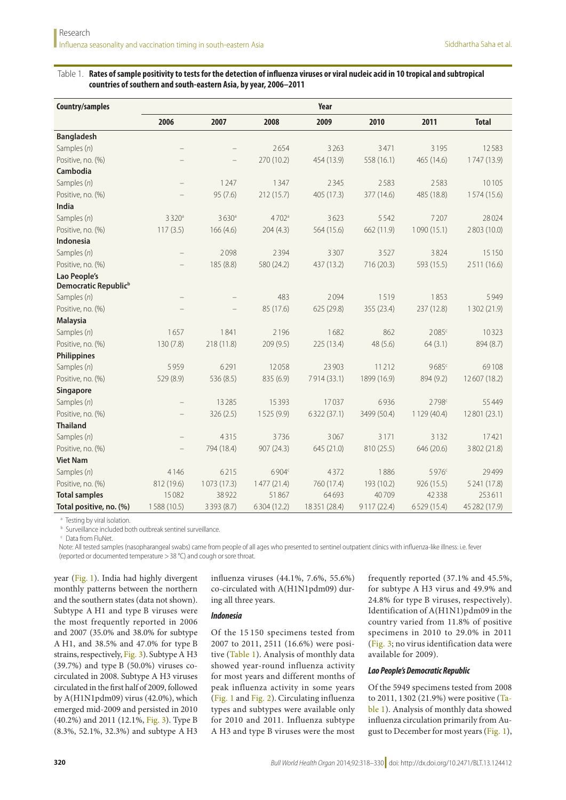## Table 1. **Rates of sample positivity to tests for the detection of influenza viruses or viral nucleic acid in 10 tropical and subtropical countries of southern and south-eastern Asia, by year, 2006–2011**

| <b>Country/samples</b>                           | Year                 |                   |             |              |             |                   |               |  |
|--------------------------------------------------|----------------------|-------------------|-------------|--------------|-------------|-------------------|---------------|--|
|                                                  | 2006                 | 2007              | 2008        | 2009         | 2010        | 2011              | <b>Total</b>  |  |
| <b>Bangladesh</b>                                |                      |                   |             |              |             |                   |               |  |
| Samples (n)                                      |                      |                   | 2654        | 3263         | 3471        | 3195              | 12583         |  |
| Positive, no. (%)                                |                      |                   | 270 (10.2)  | 454 (13.9)   | 558 (16.1)  | 465 (14.6)        | 1747 (13.9)   |  |
| Cambodia                                         |                      |                   |             |              |             |                   |               |  |
| Samples $(n)$                                    |                      | 1247              | 1347        | 2345         | 2583        | 2583              | 10105         |  |
| Positive, no. (%)                                |                      | 95 (7.6)          | 212 (15.7)  | 405 (17.3)   | 377 (14.6)  | 485 (18.8)        | 1574 (15.6)   |  |
| India                                            |                      |                   |             |              |             |                   |               |  |
| Samples (n)                                      | 3 3 2 0 <sup>a</sup> | 3630 <sup>a</sup> | 4702ª       | 3623         | 5542        | 7207              | 28024         |  |
| Positive, no. (%)                                | 117(3.5)             | 166(4.6)          | 204(4.3)    | 564 (15.6)   | 662 (11.9)  | 1090 (15.1)       | 2803 (10.0)   |  |
| Indonesia                                        |                      |                   |             |              |             |                   |               |  |
| Samples (n)                                      |                      | 2098              | 2394        | 3307         | 3527        | 3824              | 15 15 0       |  |
| Positive, no. (%)                                |                      | 185 (8.8)         | 580 (24.2)  | 437 (13.2)   | 716 (20.3)  | 593 (15.5)        | 2511 (16.6)   |  |
| Lao People's<br>Democratic Republic <sup>b</sup> |                      |                   |             |              |             |                   |               |  |
| Samples (n)                                      |                      |                   | 483         | 2094         | 1519        | 1853              | 5949          |  |
| Positive, no. (%)                                |                      |                   | 85 (17.6)   | 625 (29.8)   | 355 (23.4)  | 237 (12.8)        | 1302 (21.9)   |  |
| <b>Malaysia</b>                                  |                      |                   |             |              |             |                   |               |  |
| Samples (n)                                      | 1657                 | 1841              | 2196        | 1682         | 862         | 2085c             | 10323         |  |
| Positive, no. (%)                                | 130(7.8)             | 218 (11.8)        | 209 (9.5)   | 225 (13.4)   | 48 (5.6)    | 64(3.1)           | 894 (8.7)     |  |
| Philippines                                      |                      |                   |             |              |             |                   |               |  |
| Samples (n)                                      | 5959                 | 6291              | 12058       | 23 9 03      | 11212       | 9685c             | 69108         |  |
| Positive, no. (%)                                | 529 (8.9)            | 536 (8.5)         | 835 (6.9)   | 7914 (33.1)  | 1899 (16.9) | 894 (9.2)         | 12607 (18.2)  |  |
| Singapore                                        |                      |                   |             |              |             |                   |               |  |
| Samples (n)                                      |                      | 13285             | 15393       | 17037        | 6936        | 2798c             | 55449         |  |
| Positive, no. (%)                                |                      | 326(2.5)          | 1525 (9.9)  | 6322 (37.1)  | 3499 (50.4) | 1 1 29 (40.4)     | 12801 (23.1)  |  |
| <b>Thailand</b>                                  |                      |                   |             |              |             |                   |               |  |
| Samples (n)                                      |                      | 4315              | 3736        | 3067         | 3 1 7 1     | 3132              | 17421         |  |
| Positive, no. (%)                                |                      | 794 (18.4)        | 907 (24.3)  | 645 (21.0)   | 810 (25.5)  | 646 (20.6)        | 3802 (21.8)   |  |
| <b>Viet Nam</b>                                  |                      |                   |             |              |             |                   |               |  |
| Samples (n)                                      | 4146                 | 6215              | 6904c       | 4372         | 1886        | 5976 <sup>c</sup> | 29499         |  |
| Positive, no. (%)                                | 812 (19.6)           | 1073 (17.3)       | 1477 (21.4) | 760 (17.4)   | 193 (10.2)  | 926 (15.5)        | 5 241 (17.8)  |  |
| <b>Total samples</b>                             | 15082                | 38922             | 51867       | 64693        | 40709       | 42338             | 253611        |  |
| Total positive, no. (%)                          | 1588 (10.5)          | 3 3 9 3 (8.7)     | 6304 (12.2) | 18351 (28.4) | 9117 (22.4) | 6529 (15.4)       | 45 282 (17.9) |  |

<sup>a</sup> Testing by viral isolation.

**b** Surveillance included both outbreak sentinel surveillance.

c Data from FluNet.

Note: All tested samples (nasopharangeal swabs) came from people of all ages who presented to sentinel outpatient clinics with influenza-like illness: i.e. fever (reported or documented temperature > 38 °C) and cough or sore throat.

year (Fig. 1). India had highly divergent monthly patterns between the northern and the southern states (data not shown). Subtype A H1 and type B viruses were the most frequently reported in 2006 and 2007 (35.0% and 38.0% for subtype A H1, and 38.5% and 47.0% for type B strains, respectively, Fig. 3). Subtype A H3 (39.7%) and type B (50.0%) viruses cocirculated in 2008. Subtype A H3 viruses circulated in the first half of 2009, followed by A(H1N1pdm09) virus (42.0%), which emerged mid-2009 and persisted in 2010 (40.2%) and 2011 (12.1%, Fig. 3). Type B (8.3%, 52.1%, 32.3%) and subtype A H3

influenza viruses (44.1%, 7.6%, 55.6%) co-circulated with A(H1N1pdm09) during all three years.

## **Indonesia**

Of the 15 150 specimens tested from 2007 to 2011, 2511 (16.6%) were positive (Table 1). Analysis of monthly data showed year-round influenza activity for most years and different months of peak influenza activity in some years (Fig. 1 and Fig. 2). Circulating influenza types and subtypes were available only for 2010 and 2011. Influenza subtype A H3 and type B viruses were the most

frequently reported (37.1% and 45.5%, for subtype A H3 virus and 49.9% and 24.8% for type B viruses, respectively). Identification of A(H1N1)pdm09 in the country varied from 11.8% of positive specimens in 2010 to 29.0% in 2011 (Fig. 3; no virus identification data were available for 2009).

#### **Lao People's Democratic Republic**

Of the 5949 specimens tested from 2008 to 2011, 1302 (21.9%) were positive (Table 1). Analysis of monthly data showed influenza circulation primarily from August to December for most years (Fig. 1),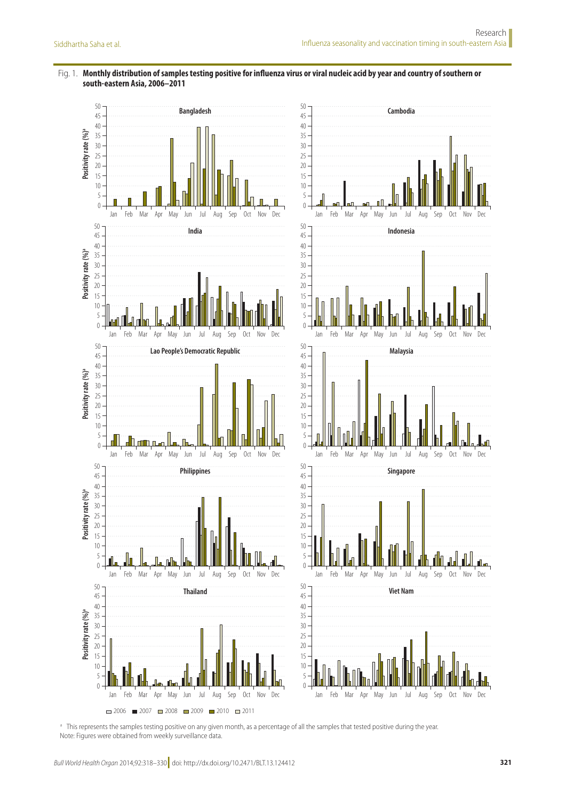## Fig. 1. **Monthly distribution of samples testing positive for influenza virus or viral nucleic acid by year and country of southern or south-eastern Asia, 2006–2011**













<sup>a</sup> This represents the samples testing positive on any given month, as a percentage of all the samples that tested positive during the year. Note: Figures were obtained from weekly surveillance data.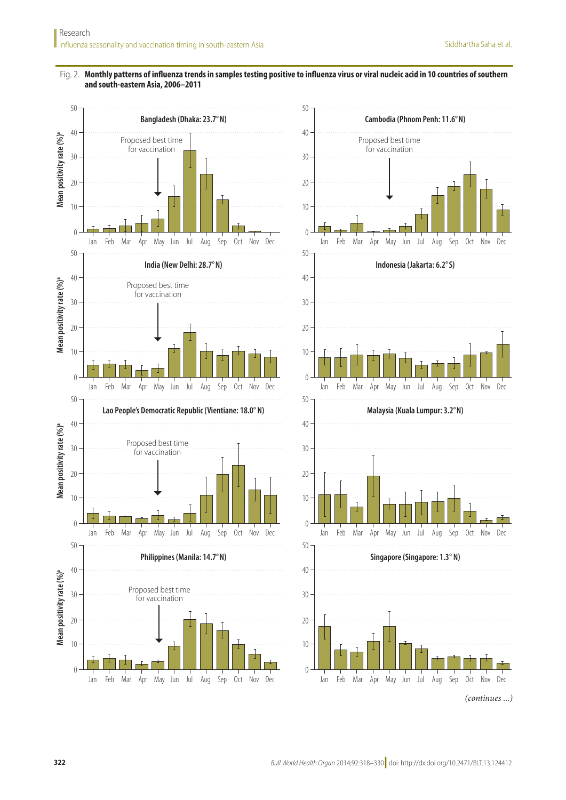# Fig. 2. **Monthly patterns of influenza trends in samples testing positive to influenza virus or viral nucleic acid in 10 countries of southern and south-eastern Asia, 2006–2011**



<sup>(</sup>continues ...)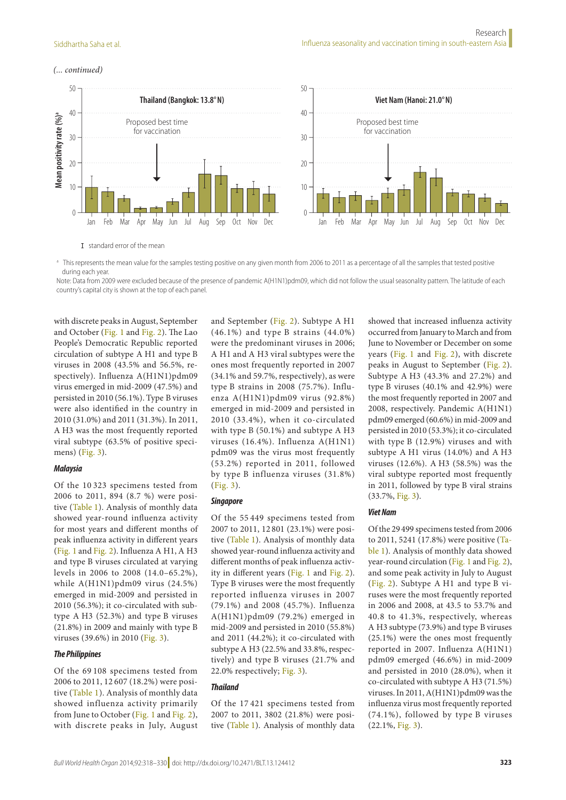## (... continued)



I standard error of the mean

<sup>a</sup> This represents the mean value for the samples testing positive on any given month from 2006 to 2011 as a percentage of all the samples that tested positive during each year.

Note: Data from 2009 were excluded because of the presence of pandemic A(H1N1)pdm09, which did not follow the usual seasonality pattern. The latitude of each country's capital city is shown at the top of each panel.

with discrete peaks in August, September and October (Fig. 1 and Fig. 2). The Lao People's Democratic Republic reported circulation of subtype A H1 and type B viruses in 2008 (43.5% and 56.5%, respectively). Influenza A(H1N1)pdm09 virus emerged in mid-2009 (47.5%) and persisted in 2010 (56.1%). Type B viruses were also identified in the country in 2010 (31.0%) and 2011 (31.3%). In 2011, A H3 was the most frequently reported viral subtype (63.5% of positive specimens) (Fig. 3).

#### **Malaysia**

Of the 10 323 specimens tested from 2006 to 2011, 894 (8.7 %) were positive (Table 1). Analysis of monthly data showed year-round influenza activity for most years and different months of peak influenza activity in different years (Fig. 1 and Fig. 2). Influenza A H1, A H3 and type B viruses circulated at varying levels in 2006 to 2008 (14.0–65.2%), while A(H1N1)pdm09 virus (24.5%) emerged in mid-2009 and persisted in 2010 (56.3%); it co-circulated with subtype A H3 (52.3%) and type B viruses (21.8%) in 2009 and mainly with type B viruses (39.6%) in 2010 (Fig. 3).

#### **The Philippines**

Of the 69 108 specimens tested from 2006 to 2011, 12 607 (18.2%) were positive (Table 1). Analysis of monthly data showed influenza activity primarily from June to October (Fig. 1 and Fig. 2), with discrete peaks in July, August

and September (Fig. 2). Subtype A H1 (46.1%) and type B strains (44.0%) were the predominant viruses in 2006; A H1 and A H3 viral subtypes were the ones most frequently reported in 2007 (34.1% and 59.7%, respectively), as were type B strains in 2008 (75.7%). Influenza A(H1N1)pdm09 virus (92.8%) emerged in mid-2009 and persisted in 2010 (33.4%), when it co-circulated with type B (50.1%) and subtype A H3 viruses (16.4%). Influenza A(H1N1) pdm09 was the virus most frequently (53.2%) reported in 2011, followed by type B influenza viruses (31.8%) (Fig. 3).

#### **Singapore**

Of the 55 449 specimens tested from 2007 to 2011, 12 801 (23.1%) were positive (Table 1). Analysis of monthly data showed year-round influenza activity and different months of peak influenza activity in different years (Fig. 1 and Fig. 2). Type B viruses were the most frequently reported influenza viruses in 2007 (79.1%) and 2008 (45.7%). Influenza A(H1N1)pdm09 (79.2%) emerged in mid-2009 and persisted in 2010 (55.8%) and 2011 (44.2%); it co-circulated with subtype A H3 (22.5% and 33.8%, respectively) and type B viruses (21.7% and 22.0% respectively; Fig. 3).

#### **Thailand**

Of the 17 421 specimens tested from 2007 to 2011, 3802 (21.8%) were positive (Table 1). Analysis of monthly data showed that increased influenza activity occurred from January to March and from June to November or December on some years (Fig. 1 and Fig. 2), with discrete peaks in August to September (Fig. 2). Subtype A H3 (43.3% and 27.2%) and type B viruses (40.1% and 42.9%) were the most frequently reported in 2007 and 2008, respectively. Pandemic A(H1N1) pdm09 emerged (60.6%) in mid-2009 and persisted in 2010 (53.3%); it co-circulated with type B (12.9%) viruses and with subtype A H1 virus (14.0%) and A H3 viruses (12.6%). A H3 (58.5%) was the viral subtype reported most frequently in 2011, followed by type B viral strains (33.7%, Fig. 3).

#### **Viet Nam**

Of the 29 499 specimens tested from 2006 to 2011, 5241 (17.8%) were positive (Table 1). Analysis of monthly data showed year-round circulation (Fig. 1 and Fig. 2), and some peak activity in July to August (Fig. 2). Subtype A H1 and type B viruses were the most frequently reported in 2006 and 2008, at 43.5 to 53.7% and 40.8 to 41.3%, respectively, whereas A H3 subtype (73.9%) and type B viruses (25.1%) were the ones most frequently reported in 2007. Influenza A(H1N1) pdm09 emerged (46.6%) in mid-2009 and persisted in 2010 (28.0%), when it co-circulated with subtype A H3 (71.5%) viruses. In 2011, A(H1N1)pdm09 was the influenza virus most frequently reported (74.1%), followed by type B viruses (22.1%, Fig. 3).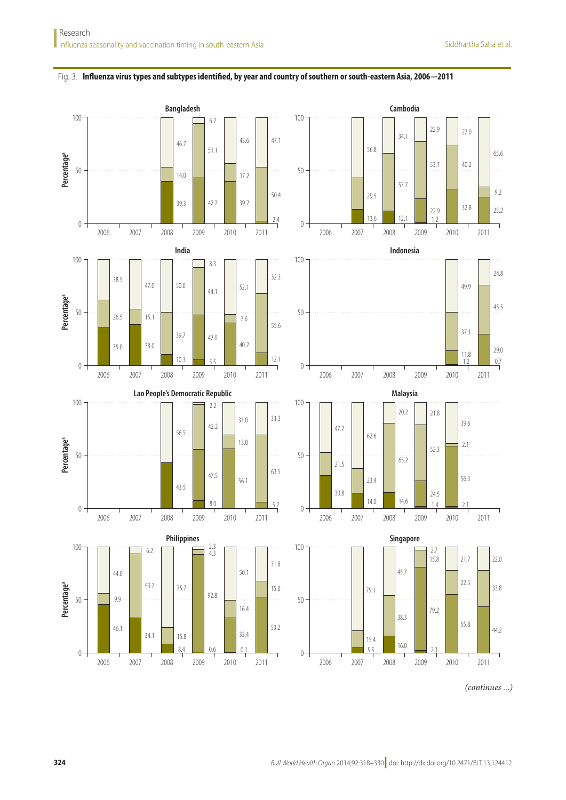

# Fig. 3. **Influenza virus types and subtypes identified, by year and country of southern or south-eastern Asia, 2006–-2011**

(continues ...)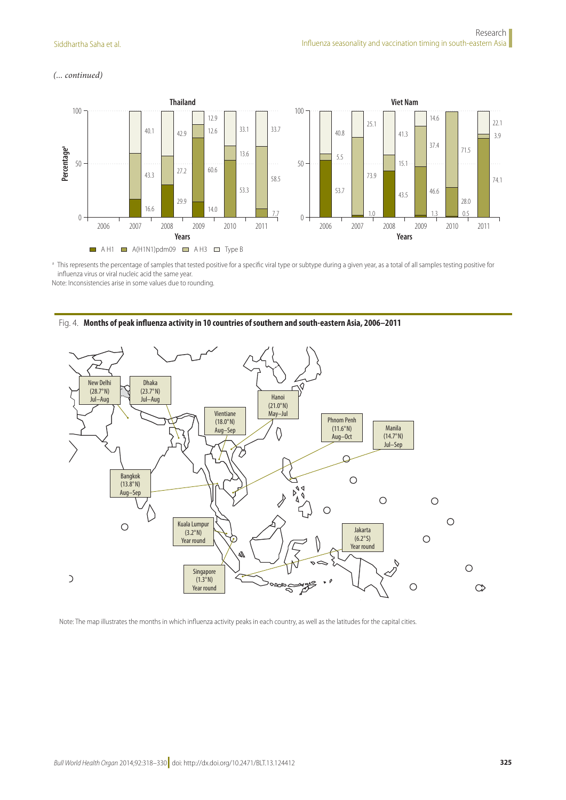# (... continued)



<sup>a</sup> This represents the percentage of samples that tested positive for a specific viral type or subtype during a given year, as a total of all samples testing positive for influenza virus or viral nucleic acid the same year.

Note: Inconsistencies arise in some values due to rounding.



Fig. 4. **Months of peak influenza activity in 10 countries of southern and south-eastern Asia, 2006–2011**

Note: The map illustrates the months in which influenza activity peaks in each country, as well as the latitudes for the capital cities.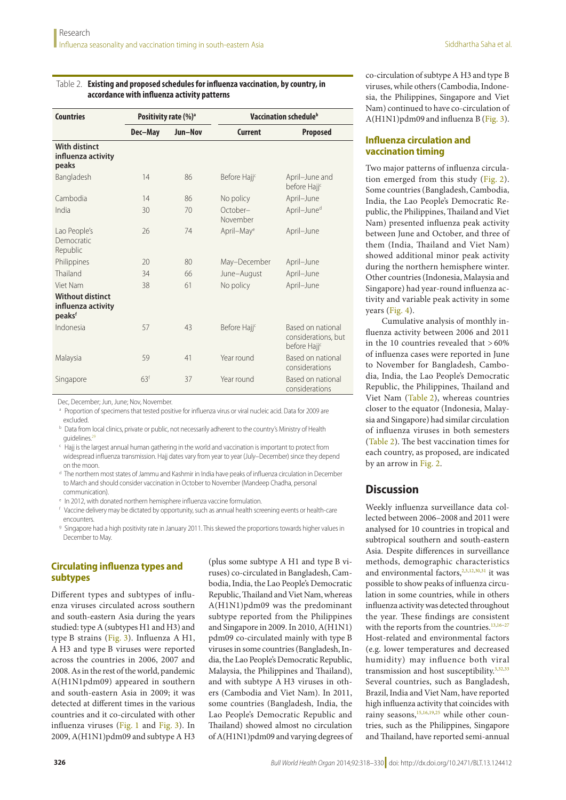## Table 2. **Existing and proposed schedules for influenza vaccination, by country, in accordance with influenza activity patterns**

| <b>Countries</b>                                        |                 | Positivity rate (%) <sup>a</sup> | Vaccination schedule <sup>b</sup> |                                                                      |  |
|---------------------------------------------------------|-----------------|----------------------------------|-----------------------------------|----------------------------------------------------------------------|--|
|                                                         | Dec-May         | Jun-Nov                          | Current                           | <b>Proposed</b>                                                      |  |
| With distinct<br>influenza activity<br>peaks            |                 |                                  |                                   |                                                                      |  |
| Bangladesh                                              | 14              | 86                               | Before Hajj <sup>c</sup>          | April-June and<br>before Hajj <sup>c</sup>                           |  |
| Cambodia                                                | 14              | 86                               | No policy                         | April-June                                                           |  |
| India                                                   | 30              | 70                               | October-<br>November              | April-June <sup>d</sup>                                              |  |
| Lao People's<br>Democratic<br>Republic                  | 26              | 74                               | April-May <sup>e</sup>            | April-June                                                           |  |
| Philippines                                             | 20              | 80                               | May-December                      | April-June                                                           |  |
| Thailand                                                | 34              | 66                               | June-August                       | April-June                                                           |  |
| Viet Nam                                                | 38              | 61                               | No policy                         | April-June                                                           |  |
| <b>Without distinct</b><br>influenza activity<br>peaksf |                 |                                  |                                   |                                                                      |  |
| Indonesia                                               | 57              | 43                               | Before Hajj <sup>c</sup>          | Based on national<br>considerations, but<br>before Hajj <sup>c</sup> |  |
| Malaysia                                                | 59              | 41                               | Year round                        | Based on national<br>considerations                                  |  |
| Singapore                                               | 63 <sup>f</sup> | 37                               | Year round                        | Based on national<br>considerations                                  |  |

Dec, December; Jun, June; Nov, November.

- <sup>a</sup> Proportion of specimens that tested positive for influenza virus or viral nucleic acid. Data for 2009 are excluded.
- **b** Data from local clinics, private or public, not necessarily adherent to the country's Ministry of Health guidelines.<sup>2</sup>
- c Hajj is the largest annual human gathering in the world and vaccination is important to protect from widespread influenza transmission. Hajj dates vary from year to year (July–December) since they depend on the moon.
- d The northern most states of Jammu and Kashmir in India have peaks of influenza circulation in December to March and should consider vaccination in October to November (Mandeep Chadha, personal communication).
- e In 2012, with donated northern hemisphere influenza vaccine formulation.
- f Vaccine delivery may be dictated by opportunity, such as annual health screening events or health-care encounters.
- g Singapore had a high positivity rate in January 2011. This skewed the proportions towards higher values in December to May.

# **Circulating influenza types and subtypes**

Different types and subtypes of influenza viruses circulated across southern and south-eastern Asia during the years studied: type A (subtypes H1 and H3) and type B strains (Fig. 3). Influenza A H1, A H3 and type B viruses were reported across the countries in 2006, 2007 and 2008. As in the rest of the world, pandemic A(H1N1pdm09) appeared in southern and south-eastern Asia in 2009; it was detected at different times in the various countries and it co-circulated with other influenza viruses (Fig. 1 and Fig. 3). In 2009, A(H1N1)pdm09 and subtype A H3

(plus some subtype A H1 and type B viruses) co-circulated in Bangladesh, Cambodia, India, the Lao People's Democratic Republic, Thailand and Viet Nam, whereas A(H1N1)pdm09 was the predominant subtype reported from the Philippines and Singapore in 2009. In 2010, A(H1N1) pdm09 co-circulated mainly with type B viruses in some countries (Bangladesh, India, the Lao People's Democratic Republic, Malaysia, the Philippines and Thailand), and with subtype A H3 viruses in others (Cambodia and Viet Nam). In 2011, some countries (Bangladesh, India, the Lao People's Democratic Republic and Thailand) showed almost no circulation of A(H1N1)pdm09 and varying degrees of co-circulation of subtype A H3 and type B viruses, while others (Cambodia, Indonesia, the Philippines, Singapore and Viet Nam) continued to have co-circulation of A(H1N1)pdm09 and influenza B (Fig. 3).

# **Influenza circulation and vaccination timing**

Two major patterns of influenza circulation emerged from this study (Fig. 2). Some countries (Bangladesh, Cambodia, India, the Lao People's Democratic Republic, the Philippines, Thailand and Viet Nam) presented influenza peak activity between June and October, and three of them (India, Thailand and Viet Nam) showed additional minor peak activity during the northern hemisphere winter. Other countries (Indonesia, Malaysia and Singapore) had year-round influenza activity and variable peak activity in some years (Fig. 4).

Cumulative analysis of monthly influenza activity between 2006 and 2011 in the 10 countries revealed that  $>60\%$ of influenza cases were reported in June to November for Bangladesh, Cambodia, India, the Lao People's Democratic Republic, the Philippines, Thailand and Viet Nam (Table 2), whereas countries closer to the equator (Indonesia, Malaysia and Singapore) had similar circulation of influenza viruses in both semesters (Table 2). The best vaccination times for each country, as proposed, are indicated by an arrow in Fig. 2.

# **Discussion**

Weekly influenza surveillance data collected between 2006–2008 and 2011 were analysed for 10 countries in tropical and subtropical southern and south-eastern Asia. Despite differences in surveillance methods, demographic characteristics and environmental factors,<sup>2,3,12,30,31</sup> it was possible to show peaks of influenza circulation in some countries, while in others influenza activity was detected throughout the year. These findings are consistent with the reports from the countries.<sup>13,16-27</sup> Host-related and environmental factors (e.g. lower temperatures and decreased humidity) may influence both viral transmission and host susceptibility.3,32,33 Several countries, such as Bangladesh, Brazil, India and Viet Nam, have reported high influenza activity that coincides with rainy seasons, $15,16,19,25$  while other countries, such as the Philippines, Singapore and Thailand, have reported semi-annual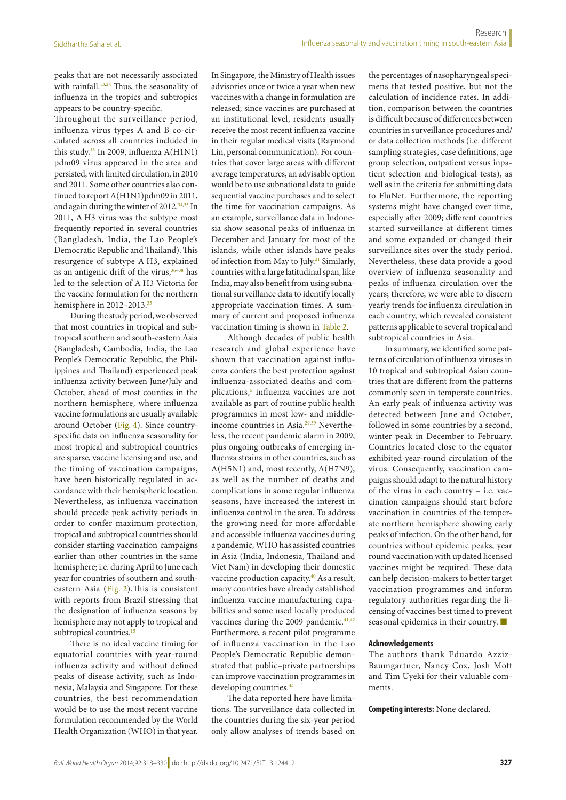peaks that are not necessarily associated with rainfall.<sup>13,24</sup> Thus, the seasonality of influenza in the tropics and subtropics appears to be country-specific.

Throughout the surveillance period, influenza virus types A and B co-circulated across all countries included in this study.<sup>13</sup> In 2009, influenza A(H1N1) pdm09 virus appeared in the area and persisted, with limited circulation, in 2010 and 2011. Some other countries also continued to report A(H1N1)pdm09 in 2011, and again during the winter of 2012.<sup>34,35</sup> In 2011, A H3 virus was the subtype most frequently reported in several countries (Bangladesh, India, the Lao People's Democratic Republic and Thailand). This resurgence of subtype A H3, explained as an antigenic drift of the virus,<sup>36-38</sup> has led to the selection of A H3 Victoria for the vaccine formulation for the northern hemisphere in 2012-2013.<sup>35</sup>

During the study period, we observed that most countries in tropical and subtropical southern and south-eastern Asia (Bangladesh, Cambodia, India, the Lao People's Democratic Republic, the Philippines and Thailand) experienced peak influenza activity between June/July and October, ahead of most counties in the northern hemisphere, where influenza vaccine formulations are usually available around October (Fig. 4). Since countryspecific data on influenza seasonality for most tropical and subtropical countries are sparse, vaccine licensing and use, and the timing of vaccination campaigns, have been historically regulated in accordance with their hemispheric location. Nevertheless, as influenza vaccination should precede peak activity periods in order to confer maximum protection, tropical and subtropical countries should consider starting vaccination campaigns earlier than other countries in the same hemisphere; i.e. during April to June each year for countries of southern and southeastern Asia (Fig. 2).This is consistent with reports from Brazil stressing that the designation of influenza seasons by hemisphere may not apply to tropical and subtropical countries.<sup>15</sup>

There is no ideal vaccine timing for equatorial countries with year-round influenza activity and without defined peaks of disease activity, such as Indonesia, Malaysia and Singapore. For these countries, the best recommendation would be to use the most recent vaccine formulation recommended by the World Health Organization (WHO) in that year.

In Singapore, the Ministry of Health issues advisories once or twice a year when new vaccines with a change in formulation are released; since vaccines are purchased at an institutional level, residents usually receive the most recent influenza vaccine in their regular medical visits (Raymond Lin, personal communication). For countries that cover large areas with different average temperatures, an advisable option would be to use subnational data to guide sequential vaccine purchases and to select the time for vaccination campaigns. As an example, surveillance data in Indonesia show seasonal peaks of influenza in December and January for most of the islands, while other islands have peaks of infection from May to July.<sup>21</sup> Similarly, countries with a large latitudinal span, like India, may also benefit from using subnational surveillance data to identify locally appropriate vaccination times. A summary of current and proposed influenza vaccination timing is shown in Table 2.

Although decades of public health research and global experience have shown that vaccination against influenza confers the best protection against influenza-associated deaths and complications,<sup>5</sup> influenza vaccines are not available as part of routine public health programmes in most low- and middleincome countries in Asia.<sup>29,39</sup> Nevertheless, the recent pandemic alarm in 2009, plus ongoing outbreaks of emerging influenza strains in other countries, such as A(H5N1) and, most recently, A(H7N9), as well as the number of deaths and complications in some regular influenza seasons, have increased the interest in influenza control in the area. To address the growing need for more affordable and accessible influenza vaccines during a pandemic, WHO has assisted countries in Asia (India, Indonesia, Thailand and Viet Nam) in developing their domestic vaccine production capacity.<sup>40</sup> As a result, many countries have already established influenza vaccine manufacturing capabilities and some used locally produced vaccines during the 2009 pandemic. $41,42$ Furthermore, a recent pilot programme of influenza vaccination in the Lao People's Democratic Republic demonstrated that public–private partnerships can improve vaccination programmes in developing countries.<sup>43</sup>

The data reported here have limitations. The surveillance data collected in the countries during the six-year period only allow analyses of trends based on

the percentages of nasopharyngeal specimens that tested positive, but not the calculation of incidence rates. In addition, comparison between the countries is difficult because of differences between countries in surveillance procedures and/ or data collection methods (i.e. different sampling strategies, case definitions, age group selection, outpatient versus inpatient selection and biological tests), as well as in the criteria for submitting data to FluNet. Furthermore, the reporting systems might have changed over time, especially after 2009; different countries started surveillance at different times and some expanded or changed their surveillance sites over the study period. Nevertheless, these data provide a good overview of influenza seasonality and peaks of influenza circulation over the years; therefore, we were able to discern yearly trends for influenza circulation in each country, which revealed consistent patterns applicable to several tropical and subtropical countries in Asia.

In summary, we identified some patterns of circulation of influenza viruses in 10 tropical and subtropical Asian countries that are different from the patterns commonly seen in temperate countries. An early peak of influenza activity was detected between June and October, followed in some countries by a second, winter peak in December to February. Countries located close to the equator exhibited year-round circulation of the virus. Consequently, vaccination campaigns should adapt to the natural history of the virus in each country – i.e. vaccination campaigns should start before vaccination in countries of the temperate northern hemisphere showing early peaks of infection. On the other hand, for countries without epidemic peaks, year round vaccination with updated licensed vaccines might be required. These data can help decision-makers to better target vaccination programmes and inform regulatory authorities regarding the licensing of vaccines best timed to prevent seasonal epidemics in their country. ■

#### **Acknowledgements**

The authors thank Eduardo Azziz-Baumgartner, Nancy Cox, Josh Mott and Tim Uyeki for their valuable comments.

**Competing interests:** None declared.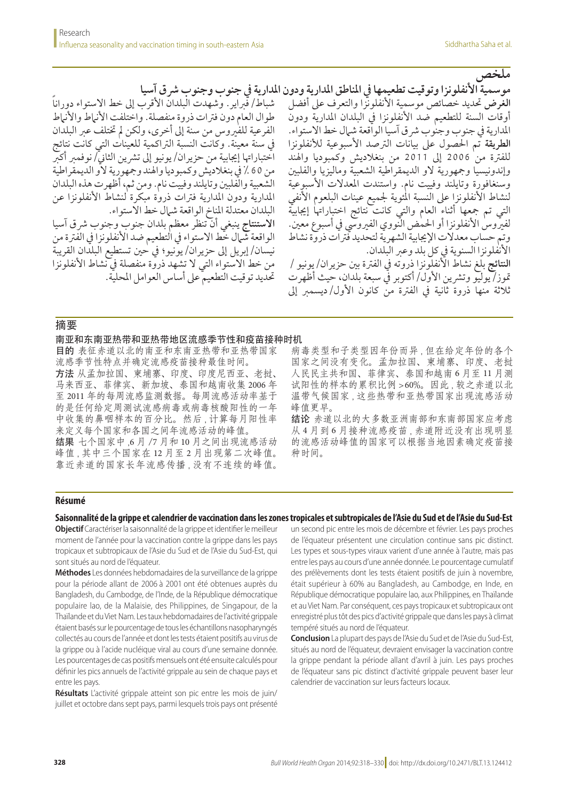ملخص  
مصعية الأتفلونزا وتوقيت تطعيمها في المناطق المدارية ودون المدارية في جنوب وجنوب شرق آسيا  
الغرضة الأتفلونزا وتوقيت تطعيمها في المناطق المدارية ودون طوال اعمام دون فترات دروه منفصلة. واختلقت الأناوا و الأناط و  
الدارية في جنوب وجنوب شرق آسيا الواقعة شال خط الاستوا - النارية ودون طوال اعمام دون فترات دروة منفصلة. واختلناشية تياشاع مراالبلدان  
الملريةة تم الحمول على يانات الترصل الأنهلونوا في الملارية ودون طوال المام دون فترات اخسية التراكمة للعينات التي ت
$$
\frac{2}{3}
$$
 خان تئاعق مبر السلان نتائع و يالنوني من ولكن لغاني، نوفصية لاعقات نتائع و تلان  
الطرية تم جعها أثناء الامو التيمقراطية الشهرية لخسي والليزيا والفلين من 60% في بنغلاديش وكبرديوا ولفند وجيوون قلاروس الأتفلونزا في لشغارون و تلانالان يزونو يل تشروس الأتفلونزا في الشفونزا في ال}\_{قرية و وت ملارها، و من تم، أظهرت و. وجنفونة و تلان المزقون و تلانالقرية و وزا الملز منيو؛ في حزت شنام مطم بلدان جنوب وجنوب شعال تفلوو سوا الأتفلونزا في الفبروس الأتفلونزا في الضوون و في الفتمع قلابلاو تلا و عزت شاط الأتفلونزا في الضوون و تلازه و تالت باقرية في تطعول تلانط ونالفالو تلاز منطو، و تلانالخون و تلانالن مزوني و تلان مفطم بلدان جنوب وجنوب قععول تلازات ملثناط وجنهورية في تحن واتنالغان و تلانالخاني، نوفمر قدید و تلانالغاني، نو مبرا تلاز منلام وجنهار د ود تسالغاني، نو ملازا عزات ملان مفامو، و تلان منلام وجهورية و أكلان مترات ملان منف ملان دو تامزات ملانفونزا وات ملاز من

# 摘要

ن القريبة

# 南亚和东南亚热带和亚热带地区流感季节性和疫苗接种时机

目的 表征赤道以北的南亚和东南亚热带和亚热带国家 流感季节性特点并确定流感疫苗接种最佳时间。 方法 从孟加拉国、柬埔寨、印度、印度尼西亚、老挝、 马来西亚、菲律宾、新加坡、泰国和越南收集 2006 年 至 2011 年的每周流感监测数据。每周流感活动率基于 的是任何给定周测试流感病毒或病毒核酸阳性的一年 中收集的鼻咽样本的百分比。然后 , 计算每月阳性率 来定义每个国家和各国之间年流感活动的峰值。 结果 七个国家中 ,6 月 /7 月和 10 月之间出现流感活动 峰值 其中三个国家在 12 月至 2 月出现第二次峰值。 靠近赤道的国家长年流感传播 , 没有不连续的峰值。

病毒类型和子类型因年份而异 , 但在给定年份的各个 国家之间没有变化。孟加拉国、柬埔寨、印度、老挝 人民民主共和国、菲律宾、泰国和越南 6 月至 11 月测 试阳性的样本的累积比例 > 60%。因此 , 较之赤道以北 温带气候国家 , 这些热带和亚热带国家出现流感活动 峰值更早。

结论 赤道以北的大多数亚洲南部和东南部国家应考虑 从 4 月到 6 月接种流感疫苗 , 赤道附近没有出现明显 的流感活动峰值的国家可以根据当地因素确定疫苗接 种时间。

## **Résumé**

#### **Saisonnalité de la grippe et calendrier de vaccination dans les zones tropicales et subtropicales de l'Asie du Sud et de l'Asie du Sud-Est**

**Objectif** Caractériser la saisonnalité de la grippe et identifier le meilleur moment de l'année pour la vaccination contre la grippe dans les pays tropicaux et subtropicaux de l'Asie du Sud et de l'Asie du Sud-Est, qui sont situés au nord de l'équateur.

**Méthodes** Les données hebdomadaires de la surveillance de la grippe pour la période allant de 2006 à 2001 ont été obtenues auprès du Bangladesh, du Cambodge, de l'Inde, de la République démocratique populaire lao, de la Malaisie, des Philippines, de Singapour, de la Thaïlande et du Viet Nam. Les taux hebdomadaires de l'activité grippale étaient basés sur le pourcentage de tous les échantillons nasopharyngés collectés au cours de l'année et dont les tests étaient positifs au virus de la grippe ou à l'acide nucléique viral au cours d'une semaine donnée. Les pourcentages de cas positifs mensuels ont été ensuite calculés pour définir les pics annuels de l'activité grippale au sein de chaque pays et entre les pays.

**Résultats** L'activité grippale atteint son pic entre les mois de juin/ juillet et octobre dans sept pays, parmi lesquels trois pays ont présenté un second pic entre les mois de décembre et février. Les pays proches de l'équateur présentent une circulation continue sans pic distinct. Les types et sous-types viraux varient d'une année à l'autre, mais pas entre les pays au cours d'une année donnée. Le pourcentage cumulatif des prélèvements dont les tests étaient positifs de juin à novembre, était supérieur à 60% au Bangladesh, au Cambodge, en Inde, en République démocratique populaire lao, aux Philippines, en Thaïlande et au Viet Nam. Par conséquent, ces pays tropicaux et subtropicaux ont enregistré plus tôt des pics d'activité grippale que dans les pays à climat tempéré situés au nord de l'équateur.

**Conclusion** La plupart des pays de l'Asie du Sud et de l'Asie du Sud-Est, situés au nord de l'équateur, devraient envisager la vaccination contre la grippe pendant la période allant d'avril à juin. Les pays proches de l'équateur sans pic distinct d'activité grippale peuvent baser leur calendrier de vaccination sur leurs facteurs locaux.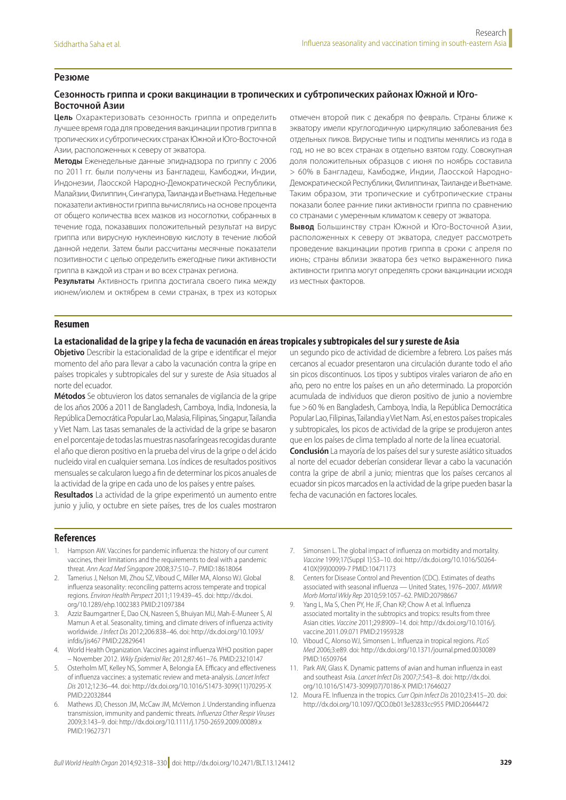## **Резюме**

# **Cезонность гриппа и сроки вакцинации в тропических и субтропических районах Южной и Юго-Восточной Азии**

**Цель** Охарактеризовать сезонность гриппа и определить лучшее время года для проведения вакцинации против гриппа в тропических и субтропических странах Южной и Юго-Восточной Азии, расположенных к северу от экватора.

**Методы** Еженедельные данные эпиднадзора по гриппу с 2006 по 2011 гг. были получены из Бангладеш, Камбоджи, Индии, Индонезии, Лаосской Народно-Демократической Республики, Малайзии, Филиппин, Сингапура, Таиланда и Вьетнама. Недельные показатели активности гриппа вычислялись на основе процента от общего количества всех мазков из носоглотки, собранных в течение года, показавших положительный результат на вирус гриппа или вирусную нуклеиновую кислоту в течение любой данной недели. Затем были рассчитаны месячные показатели позитивности с целью определить ежегодные пики активности гриппа в каждой из стран и во всех странах региона.

**Результаты** Активность гриппа достигала своего пика между июнем/июлем и октябрем в семи странах, в трех из которых

отмечен второй пик с декабря по февраль. Страны ближе к экватору имели круглогодичную циркуляцию заболевания без отдельных пиков. Вирусные типы и подтипы менялись из года в год, но не во всех странах в отдельно взятом году. Совокупная доля положительных образцов с июня по ноябрь составила > 60% в Бангладеш, Камбодже, Индии, Лаосской Народно-Демократической Республики, Филиппинах, Таиланде и Вьетнаме. Таким образом, эти тропические и субтропические страны показали более ранние пики активности гриппа по сравнению со странами с умеренным климатом к северу от экватора.

**Вывод** Большинству стран Южной и Юго-Восточной Азии, расположенных к северу от экватора, следует рассмотреть проведение вакцинации против гриппа в сроки с апреля по июнь; страны вблизи экватора без четко выраженного пика активности гриппа могут определять сроки вакцинации исходя из местных факторов.

## **Resumen**

## **La estacionalidad de la gripe y la fecha de vacunación en áreas tropicales y subtropicales del sur y sureste de Asia**

**Objetivo** Describir la estacionalidad de la gripe e identificar el mejor momento del año para llevar a cabo la vacunación contra la gripe en países tropicales y subtropicales del sur y sureste de Asia situados al norte del ecuador.

**Métodos** Se obtuvieron los datos semanales de vigilancia de la gripe de los años 2006 a 2011 de Bangladesh, Camboya, India, Indonesia, la República Democrática Popular Lao, Malasia, Filipinas, Singapur, Tailandia y Viet Nam. Las tasas semanales de la actividad de la gripe se basaron en el porcentaje de todas las muestras nasofaríngeas recogidas durante el año que dieron positivo en la prueba del virus de la gripe o del ácido nucleido viral en cualquier semana. Los índices de resultados positivos mensuales se calcularon luego a fin de determinar los picos anuales de la actividad de la gripe en cada uno de los países y entre países.

**Resultados** La actividad de la gripe experimentó un aumento entre junio y julio, y octubre en siete países, tres de los cuales mostraron

un segundo pico de actividad de diciembre a febrero. Los países más cercanos al ecuador presentaron una circulación durante todo el año sin picos discontinuos. Los tipos y subtipos virales variaron de año en año, pero no entre los países en un año determinado. La proporción acumulada de individuos que dieron positivo de junio a noviembre fue > 60 % en Bangladesh, Camboya, India, la República Democrática Popular Lao, Filipinas, Tailandia y Viet Nam. Así, en estos países tropicales y subtropicales, los picos de actividad de la gripe se produjeron antes que en los países de clima templado al norte de la línea ecuatorial. **Conclusión** La mayoría de los países del sur y sureste asiático situados al norte del ecuador deberían considerar llevar a cabo la vacunación contra la gripe de abril a junio; mientras que los países cercanos al ecuador sin picos marcados en la actividad de la gripe pueden basar la fecha de vacunación en factores locales.

# **References**

- 1. Hampson AW. Vaccines for pandemic influenza: the history of our current vaccines, their limitations and the requirements to deal with a pandemic threat. Ann Acad Med Singapore 2008;37:510–7. PMID:18618064
- 2. Tamerius J, Nelson MI, Zhou SZ, Viboud C, Miller MA, Alonso WJ. Global influenza seasonality: reconciling patterns across temperate and tropical regions. Environ Health Perspect 2011;119:439–45. doi: http://dx.doi. org/10.1289/ehp.1002383 PMID:21097384
- 3. Azziz Baumgartner E, Dao CN, Nasreen S, Bhuiyan MU, Mah-E-Muneer S, Al Mamun A et al. Seasonality, timing, and climate drivers of influenza activity worldwide. J Infect Dis 2012;206:838–46. doi: http://dx.doi.org/10.1093/ infdis/jis467 PMID:22829641
- 4. World Health Organization. Vaccines against influenza WHO position paper – November 2012. Wkly Epidemiol Rec 2012;87:461–76. PMID:23210147
- 5. Osterholm MT, Kelley NS, Sommer A, Belongia EA. Efficacy and effectiveness of influenza vaccines: a systematic review and meta-analysis. Lancet Infect Dis 2012;12:36–44. doi: http://dx.doi.org/10.1016/S1473-3099(11)70295-X PMID:22032844
- 6. Mathews JD, Chesson JM, McCaw JM, McVernon J. Understanding influenza transmission, immunity and pandemic threats. Influenza Other Respir Viruses 2009;3:143–9. doi: http://dx.doi.org/10.1111/j.1750-2659.2009.00089.x PMID:19627371
- 7. Simonsen L. The global impact of influenza on morbidity and mortality. Vaccine 1999;17(Suppl 1):S3–10. doi: http://dx.doi.org/10.1016/S0264- 410X(99)00099-7 PMID:10471173
- 8. Centers for Disease Control and Prevention (CDC). Estimates of deaths associated with seasonal influenza — United States, 1976–2007. MMWR Morb Mortal Wkly Rep 2010;59:1057–62. PMID:20798667
- 9. Yang L, Ma S, Chen PY, He JF, Chan KP, Chow A et al. Influenza associated mortality in the subtropics and tropics: results from three Asian cities. Vaccine 2011;29:8909–14. doi: http://dx.doi.org/10.1016/j. vaccine.2011.09.071 PMID:21959328
- 10. Viboud C, Alonso WJ, Simonsen L, Influenza in tropical regions, PLoS Med 2006;3:e89. doi: http://dx.doi.org/10.1371/journal.pmed.0030089 PMID:16509764
- 11. Park AW, Glass K. Dynamic patterns of avian and human influenza in east and southeast Asia. Lancet Infect Dis 2007;7:543–8. doi: http://dx.doi. org/10.1016/S1473-3099(07)70186-X PMID:17646027
- 12. Moura FE. Influenza in the tropics. Curr Opin Infect Dis 2010;23:415–20. doi: http://dx.doi.org/10.1097/QCO.0b013e32833cc955 PMID:20644472